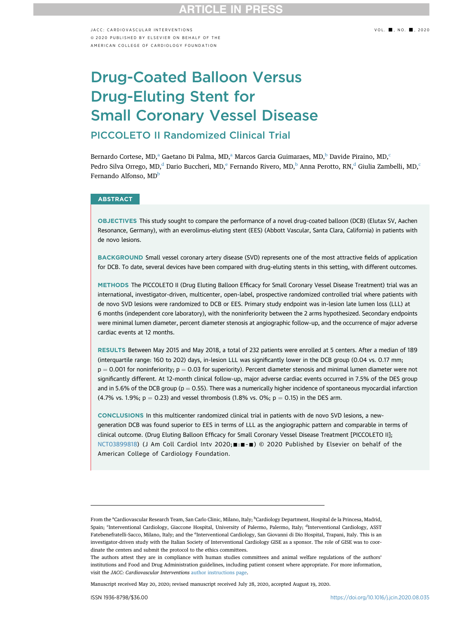JACC: CARDIOVASCUI AR INTERVENTIONS VOL. NO. 2020 ª 2020 PUBLISHED BY ELSEVIER ON BEHALF OF THE AMERICAN COLLEGE OF CARDIOLOGY FOUNDATION

# Drug-Coated Balloon Versus Drug-Eluting Stent for Small Coronary Vessel Disease PICCOLETO II Randomized Clinical Trial

Bern[a](#page-0-0)rdo Cortese, MD,<sup>a</sup> Gaetano Di Palma, MD,<sup>a</sup> Mar[c](#page-0-1)os Garcia Guimaraes, MD,<sup>b</sup> Davide Piraino, MD,<sup>c</sup> Pedro Silva Orrego, MD,<sup>d</sup> Dario Buccheri, MD,<sup>e</sup> Fernando Rivero, MD,<sup>[b](#page-0-0)</sup> Anna Perotto, RN,<sup>[d](#page-0-1)</sup> Giulia Zambelli, MD,<sup>c</sup> Fernando Alfonso, MD<sup>b</sup>

### **ABSTRACT**

OBJECTIVES This study sought to compare the performance of a novel drug-coated balloon (DCB) (Elutax SV, Aachen Resonance, Germany), with an everolimus-eluting stent (EES) (Abbott Vascular, Santa Clara, California) in patients with de novo lesions.

BACKGROUND Small vessel coronary artery disease (SVD) represents one of the most attractive fields of application for DCB. To date, several devices have been compared with drug-eluting stents in this setting, with different outcomes.

METHODS The PICCOLETO II (Drug Eluting Balloon Efficacy for Small Coronary Vessel Disease Treatment) trial was an international, investigator-driven, multicenter, open-label, prospective randomized controlled trial where patients with de novo SVD lesions were randomized to DCB or EES. Primary study endpoint was in-lesion late lumen loss (LLL) at 6 months (independent core laboratory), with the noninferiority between the 2 arms hypothesized. Secondary endpoints were minimal lumen diameter, percent diameter stenosis at angiographic follow-up, and the occurrence of major adverse cardiac events at 12 months.

RESULTS Between May 2015 and May 2018, a total of 232 patients were enrolled at 5 centers. After a median of 189 (interquartile range: 160 to 202) days, in-lesion LLL was significantly lower in the DCB group (0.04 vs. 0.17 mm;  $p = 0.001$  for noninferiority;  $p = 0.03$  for superiority). Percent diameter stenosis and minimal lumen diameter were not significantly different. At 12-month clinical follow-up, major adverse cardiac events occurred in 7.5% of the DES group and in 5.6% of the DCB group ( $p = 0.55$ ). There was a numerically higher incidence of spontaneous myocardial infarction (4.7% vs. 1.9%;  $p = 0.23$ ) and vessel thrombosis (1.8% vs. 0%;  $p = 0.15$ ) in the DES arm.

CONCLUSIONS In this multicenter randomized clinical trial in patients with de novo SVD lesions, a newgeneration DCB was found superior to EES in terms of LLL as the angiographic pattern and comparable in terms of clinical outcome. (Drug Eluting Balloon Efficacy for Small Coronary Vessel Disease Treatment [PICCOLETO II]; [NCT03899818\)](https://www.clinicaltrials.gov/ct2/show/NCT03899818) (J Am Coll Cardiol Intv 2020; : = - ) © 2020 Published by Elsevier on behalf of the American College of Cardiology Foundation.

Manuscript received May 20, 2020; revised manuscript received July 28, 2020, accepted August 19, 2020.

<span id="page-0-2"></span><span id="page-0-1"></span><span id="page-0-0"></span>From the <sup>a</sup>Cardiovascular Research Team, San Carlo Clinic, Milano, Italy; <sup>b</sup>Cardiology Department, Hospital de la Princesa, Madrid, Spain; 'Interventional Cardiology, Giaccone Hospital, University of Palermo, Palermo, Italy; <sup>d</sup>Interventional Cardiology, ASST Fatebenefratelli-Sacco, Milano, Italy; and the <sup>e</sup>Interventional Cardiology, San Giovanni di Dio Hospital, Trapani, Italy. This is an investigator-driven study with the Italian Society of Interventional Cardiology GISE as a sponsor. The role of GISE was to coordinate the centers and submit the protocol to the ethics committees.

The authors attest they are in compliance with human studies committees and animal welfare regulations of the authors' institutions and Food and Drug Administration guidelines, including patient consent where appropriate. For more information, visit the JACC: Cardiovascular Interventions [author instructions page](http://interventions.onlinejacc.org/content/instructions-authors).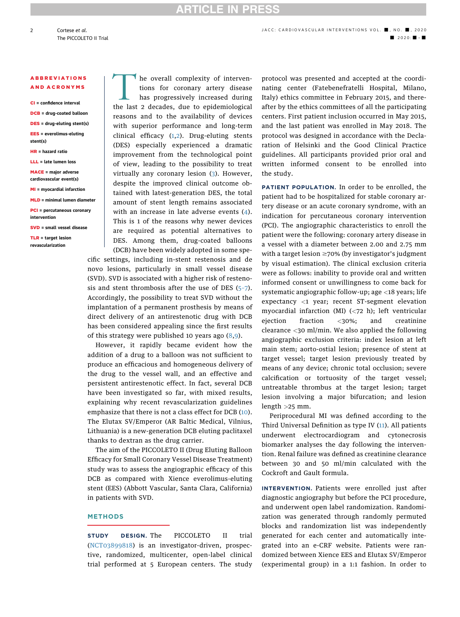# **ARTICLE IN PRES**

### ABBREVIATIONS AND ACRONYMS

CI = confidence interval

- DCB = drug-coated balloon
- DES = drug-eluting stent(s)
- EES = everolimus-eluting stent(s)
- HR = hazard ratio
- LLL = late lumen loss

MACE = major adverse cardiovascular event(s)

- MI = myocardial infarction
- MLD = minimal lumen diameter

PCI = percutaneous coronary intervention

SVD = small vessel disease

TLR = target lesion revascularization

he overall complexity of interventions for coronary artery disease has progressively increased during the last 2 decades, due to epidemiological reasons and to the availability of devices with superior performance and long-term clinical efficacy ([1](#page-8-0),[2](#page-8-1)). Drug-eluting stents (DES) especially experienced a dramatic improvement from the technological point of view, leading to the possibility to treat virtually any coronary lesion [\(3\)](#page-8-2). However, despite the improved clinical outcome obtained with latest-generation DES, the total amount of stent length remains associated with an increase in late adverse events ([4\)](#page-8-3). This is 1 of the reasons why newer devices are required as potential alternatives to DES. Among them, drug-coated balloons

(DCB) have been widely adopted in some specific settings, including in-stent restenosis and de novo lesions, particularly in small vessel disease (SVD). SVD is associated with a higher risk of restenosis and stent thrombosis after the use of DES  $(5-7)$  $(5-7)$ . Accordingly, the possibility to treat SVD without the implantation of a permanent prosthesis by means of direct delivery of an antirestenotic drug with DCB has been considered appealing since the first results of this strategy were published 10 years ago  $(8,9)$  $(8,9)$  $(8,9)$ .

However, it rapidly became evident how the addition of a drug to a balloon was not sufficient to produce an efficacious and homogeneous delivery of the drug to the vessel wall, and an effective and persistent antirestenotic effect. In fact, several DCB have been investigated so far, with mixed results, explaining why recent revascularization guidelines emphasize that there is not a class effect for DCB ([10\)](#page-9-2). The Elutax SV/Emperor (AR Baltic Medical, Vilnius, Lithuania) is a new-generation DCB eluting paclitaxel thanks to dextran as the drug carrier.

The aim of the PICCOLETO II (Drug Eluting Balloon Efficacy for Small Coronary Vessel Disease Treatment) study was to assess the angiographic efficacy of this DCB as compared with Xience everolimus-eluting stent (EES) (Abbott Vascular, Santa Clara, California) in patients with SVD.

### **METHODS**

STUDY DESIGN. The PICCOLETO II trial ([NCT03899818](https://www.clinicaltrials.gov/ct2/show/NCT03899818)) is an investigator-driven, prospective, randomized, multicenter, open-label clinical trial performed at 5 European centers. The study protocol was presented and accepted at the coordinating center (Fatebenefratelli Hospital, Milano, Italy) ethics committee in February 2015, and thereafter by the ethics committees of all the participating centers. First patient inclusion occurred in May 2015, and the last patient was enrolled in May 2018. The protocol was designed in accordance with the Declaration of Helsinki and the Good Clinical Practice guidelines. All participants provided prior oral and written informed consent to be enrolled into the study.

PATIENT POPULATION. In order to be enrolled, the patient had to be hospitalized for stable coronary artery disease or an acute coronary syndrome, with an indication for percutaneous coronary intervention (PCI). The angiographic characteristics to enroll the patient were the following: coronary artery disease in a vessel with a diameter between 2.00 and 2.75 mm with a target lesion  $\geq$ 70% (by investigator's judgment by visual estimation). The clinical exclusion criteria were as follows: inability to provide oral and written informed consent or unwillingness to come back for systematic angiographic follow-up; age <18 years; life expectancy <1 year; recent ST-segment elevation myocardial infarction (MI) (<72 h); left ventricular ejection fraction <30%; and creatinine clearance <30 ml/min. We also applied the following angiographic exclusion criteria: index lesion at left main stem; aorto-ostial lesion; presence of stent at target vessel; target lesion previously treated by means of any device; chronic total occlusion; severe calcification or tortuosity of the target vessel; untreatable thrombus at the target lesion; target lesion involving a major bifurcation; and lesion length >25 mm.

Periprocedural MI was defined according to the Third Universal Definition as type IV ([11](#page-9-3)). All patients underwent electrocardiogram and cytonecrosis biomarker analyses the day following the intervention. Renal failure was defined as creatinine clearance between 30 and 50 ml/min calculated with the Cockroft and Gault formula.

INTERVENTION. Patients were enrolled just after diagnostic angiography but before the PCI procedure, and underwent open label randomization. Randomization was generated through randomly permuted blocks and randomization list was independently generated for each center and automatically integrated into an e-CRF website. Patients were randomized between Xience EES and Elutax SV/Emperor (experimental group) in a 1:1 fashion. In order to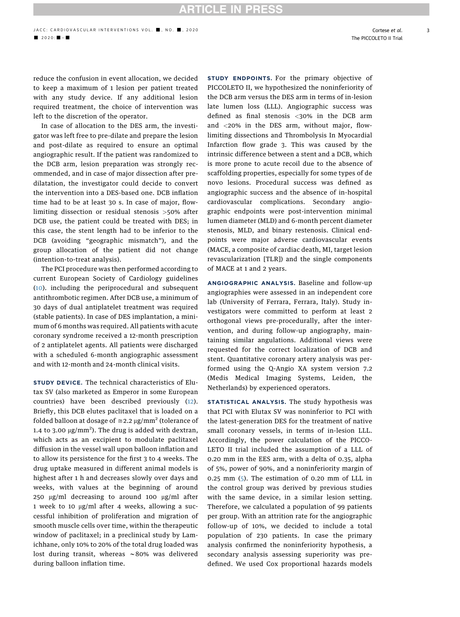**ARTICLE IN PRESS** 

3

reduce the confusion in event allocation, we decided to keep a maximum of 1 lesion per patient treated with any study device. If any additional lesion required treatment, the choice of intervention was left to the discretion of the operator.

In case of allocation to the DES arm, the investigator was left free to pre-dilate and prepare the lesion and post-dilate as required to ensure an optimal angiographic result. If the patient was randomized to the DCB arm, lesion preparation was strongly recommended, and in case of major dissection after predilatation, the investigator could decide to convert the intervention into a DES-based one. DCB inflation time had to be at least 30 s. In case of major, flowlimiting dissection or residual stenosis >50% after DCB use, the patient could be treated with DES; in this case, the stent length had to be inferior to the DCB (avoiding "geographic mismatch"), and the group allocation of the patient did not change (intention-to-treat analysis).

The PCI procedure was then performed according to current European Society of Cardiology guidelines ([10](#page-9-2)). including the periprocedural and subsequent antithrombotic regimen. After DCB use, a minimum of 30 days of dual antiplatelet treatment was required (stable patients). In case of DES implantation, a minimum of 6 months was required. All patients with acute coronary syndrome received a 12-month prescription of 2 antiplatelet agents. All patients were discharged with a scheduled 6-month angiographic assessment and with 12-month and 24-month clinical visits.

STUDY DEVICE. The technical characteristics of Elutax SV (also marketed as Emperor in some European countries) have been described previously ([12\)](#page-9-4). Briefly, this DCB elutes paclitaxel that is loaded on a folded balloon at dosage of  $\approx$  2.2 µg/mm<sup>2</sup> (tolerance of 1.4 to 3.00  $\mu$ g/mm<sup>2</sup>). The drug is added with dextran, which acts as an excipient to modulate paclitaxel diffusion in the vessel wall upon balloon inflation and to allow its persistence for the first 3 to 4 weeks. The drug uptake measured in different animal models is highest after 1 h and decreases slowly over days and weeks, with values at the beginning of around 250  $\mu$ g/ml decreasing to around 100  $\mu$ g/ml after 1 week to 10  $\mu$ g/ml after 4 weeks, allowing a successful inhibition of proliferation and migration of smooth muscle cells over time, within the therapeutic window of paclitaxel; in a preclinical study by Lamichhane, only 10% to 20% of the total drug loaded was lost during transit, whereas  $\sim$ 80% was delivered during balloon inflation time.

STUDY ENDPOINTS. For the primary objective of PICCOLETO II, we hypothesized the noninferiority of the DCB arm versus the DES arm in terms of in-lesion late lumen loss (LLL). Angiographic success was defined as final stenosis <30% in the DCB arm and <20% in the DES arm, without major, flowlimiting dissections and Thrombolysis In Myocardial Infarction flow grade 3. This was caused by the intrinsic difference between a stent and a DCB, which is more prone to acute recoil due to the absence of scaffolding properties, especially for some types of de novo lesions. Procedural success was defined as angiographic success and the absence of in-hospital cardiovascular complications. Secondary angiographic endpoints were post-intervention minimal lumen diameter (MLD) and 6-month percent diameter stenosis, MLD, and binary restenosis. Clinical endpoints were major adverse cardiovascular events (MACE, a composite of cardiac death, MI, target lesion revascularization [TLR]) and the single components of MACE at 1 and 2 years.

ANGIOGRAPHIC ANALYSIS. Baseline and follow-up angiographies were assessed in an independent core lab (University of Ferrara, Ferrara, Italy). Study investigators were committed to perform at least 2 orthogonal views pre-procedurally, after the intervention, and during follow-up angiography, maintaining similar angulations. Additional views were requested for the correct localization of DCB and stent. Quantitative coronary artery analysis was performed using the Q-Angio XA system version 7.2 (Medis Medical Imaging Systems, Leiden, the Netherlands) by experienced operators.

STATISTICAL ANALYSIS. The study hypothesis was that PCI with Elutax SV was noninferior to PCI with the latest-generation DES for the treatment of native small coronary vessels, in terms of in-lesion LLL. Accordingly, the power calculation of the PICCO-LETO II trial included the assumption of a LLL of 0.20 mm in the EES arm, with a delta of 0.35, alpha of 5%, power of 90%, and a noninferiority margin of 0.25 mm [\(5\)](#page-8-4). The estimation of 0.20 mm of LLL in the control group was derived by previous studies with the same device, in a similar lesion setting. Therefore, we calculated a population of 99 patients per group. With an attrition rate for the angiographic follow-up of 10%, we decided to include a total population of 230 patients. In case the primary analysis confirmed the noninferiority hypothesis, a secondary analysis assessing superiority was predefined. We used Cox proportional hazards models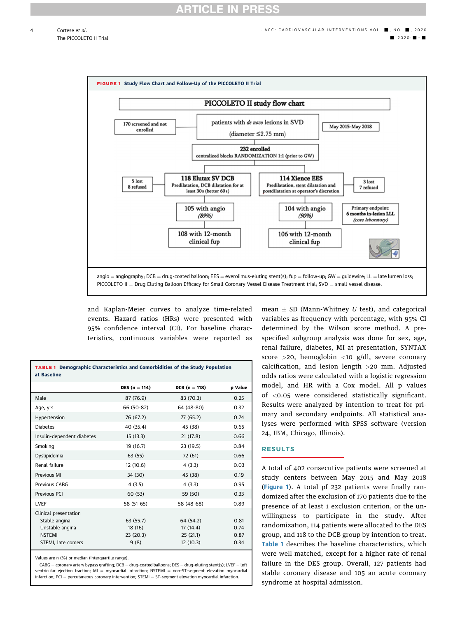<span id="page-3-0"></span>

and Kaplan-Meier curves to analyze time-related events. Hazard ratios (HRs) were presented with 95% confidence interval (CI). For baseline characteristics, continuous variables were reported as

<span id="page-3-1"></span>

| at Baseline                                                                | <b>TABLE 1 Demographic Characteristics and Comorbidities of the Study Population</b> |                                   |                      |
|----------------------------------------------------------------------------|--------------------------------------------------------------------------------------|-----------------------------------|----------------------|
|                                                                            | <b>DES</b> $(n = 114)$                                                               | <b>DCB</b> ( $n = 118$ )          | p Value              |
| Male                                                                       | 87 (76.9)                                                                            | 83 (70.3)                         | 0.25                 |
| Age, yrs                                                                   | 66 (50-82)                                                                           | 64 (48-80)                        | 0.32                 |
| Hypertension                                                               | 76 (67.2)                                                                            | 77 (65.2)                         | 0.74                 |
| <b>Diabetes</b>                                                            | 40 (35.4)                                                                            | 45 (38)                           | 0.65                 |
| Insulin-dependent diabetes                                                 | 15(13.3)                                                                             | 21(17.8)                          | 0.66                 |
| Smoking                                                                    | 19 (16.7)                                                                            | 23 (19.5)                         | 0.84                 |
| Dyslipidemia                                                               | 63 (55)                                                                              | 72 (61)                           | 0.66                 |
| Renal failure                                                              | 12 (10.6)                                                                            | 4(3.3)                            | 0.03                 |
| Previous MI                                                                | 34 (30)                                                                              | 45 (38)                           | 0.19                 |
| Previous CABG                                                              | 4(3.5)                                                                               | 4(3.3)                            | 0.95                 |
| Previous PCI                                                               | 60 (53)                                                                              | 59 (50)                           | 0.33                 |
| <b>LVEF</b>                                                                | 58 (51-65)                                                                           | 58 (48-68)                        | 0.89                 |
| Clinical presentation<br>Stable angina<br>Unstable angina<br><b>NSTEMI</b> | 63 (55.7)<br>18 (16)<br>23(20.3)                                                     | 64 (54.2)<br>17(14.4)<br>25(21.1) | 0.81<br>0.74<br>0.87 |
| STEMI, late comers                                                         | 9(8)                                                                                 | 12 (10.3)                         | 0.34                 |

Values are n (%) or median (interquartile range).

 $CABG =$  coronary artery bypass grafting; DCB = drug-coated balloons; DES = drug-eluting stent(s); LVEF = left ventricular ejection fraction; MI = myocardial infarction; NSTEMI = non-ST-segment elevation myocardial infarction; PCI = percutaneous coronary intervention; STEMI = ST-segment elevation myocardial infarction.

mean  $\pm$  SD (Mann-Whitney  $U$  test), and categorical variables as frequency with percentage, with 95% CI determined by the Wilson score method. A prespecified subgroup analysis was done for sex, age, renal failure, diabetes, MI at presentation, SYNTAX score >20, hemoglobin <10 g/dl, severe coronary calcification, and lesion length >20 mm. Adjusted odds ratios were calculated with a logistic regression model, and HR with a Cox model. All p values of <0.05 were considered statistically significant. Results were analyzed by intention to treat for primary and secondary endpoints. All statistical analyses were performed with SPSS software (version 24, IBM, Chicago, Illinois).

### RESULTS

A total of 402 consecutive patients were screened at study centers between May 2015 and May 2018 ([Figure 1](#page-3-0)). A total pf 232 patients were finally randomized after the exclusion of 170 patients due to the presence of at least 1 exclusion criterion, or the unwillingness to participate in the study. After randomization, 114 patients were allocated to the DES group, and 118 to the DCB group by intention to treat. [Table 1](#page-3-1) describes the baseline characteristics, which were well matched, except for a higher rate of renal failure in the DES group. Overall, 127 patients had stable coronary disease and 105 an acute coronary syndrome at hospital admission.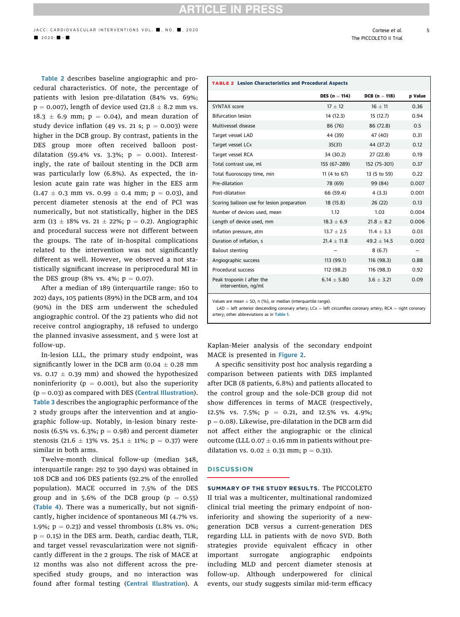**RTICLE IN PRESS** 

[Table 2](#page-4-0) describes baseline angiographic and procedural characteristics. Of note, the percentage of patients with lesion pre-dilatation (84% vs. 69%;  $p = 0.007$ ), length of device used (21.8  $\pm$  8.2 mm vs.  $18.3 \pm 6.9$  mm;  $p = 0.04$ ), and mean duration of study device inflation (49 vs. 21 s;  $p = 0.003$ ) were higher in the DCB group. By contrast, patients in the DES group more often received balloon postdilatation (59.4% vs. 3.3%;  $p = 0.001$ ). Interestingly, the rate of bailout stenting in the DCB arm was particularly low (6.8%). As expected, the inlesion acute gain rate was higher in the EES arm  $(1.47 \pm 0.3 \text{ mm vs. } 0.99 \pm 0.4 \text{ mm; p} = 0.03)$ , and percent diameter stenosis at the end of PCI was numerically, but not statistically, higher in the DES  $arm (13 \pm 18\% \text{ vs. } 21 \pm 22\%; \ p = 0.2)$ . Angiographic and procedural success were not different between the groups. The rate of in-hospital complications related to the intervention was not significantly different as well. However, we observed a not statistically significant increase in periprocedural MI in the DES group (8% vs. 4%;  $p = 0.07$ ).

After a median of 189 (interquartile range: 160 to 202) days, 105 patients (89%) in the DCB arm, and 104 (90%) in the DES arm underwent the scheduled angiographic control. Of the 23 patients who did not receive control angiography, 18 refused to undergo the planned invasive assessment, and 5 were lost at follow-up.

In-lesion LLL, the primary study endpoint, was significantly lower in the DCB arm (0.04  $\pm$  0.28 mm vs. 0.17  $\pm$  0.39 mm) and showed the hypothesized noninferiority ( $p = 0.001$ ), but also the superiority  $(p = 0.03)$  as compared with DES (**[Central Illustration](#page-5-0)**). [Table 3](#page-5-1) describes the angiographic performance of the 2 study groups after the intervention and at angiographic follow-up. Notably, in-lesion binary restenosis (6.5% vs. 6.3%;  $p = 0.98$ ) and percent diameter stenosis (21.6  $\pm$  13% vs. 25.1  $\pm$  11%; p = 0.37) were similar in both arms.

Twelve-month clinical follow-up (median 348, interquartile range: 292 to 390 days) was obtained in 108 DCB and 106 DES patients (92.2% of the enrolled population). MACE occurred in 7.5% of the DES group and in 5.6% of the DCB group ( $p = 0.55$ ) ([Table 4](#page-6-0)). There was a numerically, but not significantly, higher incidence of spontaneous MI (4.7% vs. 1.9%;  $p = 0.23$ ) and vessel thrombosis (1.8% vs. 0%;  $p = 0.15$ ) in the DES arm. Death, cardiac death, TLR, and target vessel revascularization were not significantly different in the 2 groups. The risk of MACE at 12 months was also not different across the prespecified study groups, and no interaction was found after formal testing ([Central Illustration](#page-5-0)). A

<span id="page-4-0"></span>

|                                                  | <b>TABLE 2 Lesion Characteristics and Procedural Aspects</b> |                          |         |
|--------------------------------------------------|--------------------------------------------------------------|--------------------------|---------|
|                                                  | <b>DES</b> $(n = 114)$                                       | <b>DCB</b> ( $n = 118$ ) | p Value |
| <b>SYNTAX score</b>                              | $17 + 12$                                                    | $16 + 11$                | 0.36    |
| <b>Bifurcation lesion</b>                        | 14 (12.3)                                                    | 15(12.7)                 | 0.94    |
| Multivessel disease                              | 86 (76)                                                      | 86 (72.8)                | 0.5     |
| Target vessel LAD                                | 44 (39)                                                      | 47 (40)                  | 0.31    |
| Target vessel LCx                                | 35(31)                                                       | 44 (37.2)                | 0.12    |
| Target vessel RCA                                | 34 (30.2)                                                    | 27(22.8)                 | 0.19    |
| Total contrast use, ml                           | 155 (67-289)                                                 | 152 (75-301)             | 0.37    |
| Total fluoroscopy time, min                      | 11 (4 to 67)                                                 | 13 (5 to 59)             | 0.22    |
| Pre-dilatation                                   | 78 (69)                                                      | 99 (84)                  | 0.007   |
| Post-dilatation                                  | 66 (59.4)                                                    | 4(3.3)                   | 0.001   |
| Scoring balloon use for lesion preparation       | 18 (15.8)                                                    | 26(22)                   | 0.13    |
| Number of devices used, mean                     | 1.12                                                         | 1.03                     | 0.004   |
| Length of device used, mm                        | $18.3 \pm 6.9$                                               | $21.8 \pm 8.2$           | 0.006   |
| Inflation pressure, atm                          | $13.7 + 2.5$                                                 | $11.4 + 3.3$             | 0.03    |
| Duration of inflation, s                         | $21.4 \pm 11.8$                                              | $49.2 \pm 14.5$          | 0.002   |
| <b>Bailout stenting</b>                          |                                                              | 8(6.7)                   |         |
| Angiographic success                             | 113 (99.1)                                                   | 116(98.3)                | 0.88    |
| Procedural success                               | 112 (98.2)                                                   | 116 (98.3)               | 0.92    |
| Peak troponin I after the<br>intervention, ng/ml | $6.14 + 5.80$                                                | $3.6 + 3.21$             | 0.09    |

Values are mean  $\pm$  SD, n (%), or median (interquartile range).

 $LAD = left$  anterior descending coronary artery;  $LCx = left$  circumflex coronary artery; RCA = right coronary artery; other abbreviations as in [Table 1](#page-3-1).

Kaplan-Meier analysis of the secondary endpoint MACE is presented in [Figure 2](#page-6-1).

A specific sensitivity post hoc analysis regarding a comparison between patients with DES implanted after DCB (8 patients, 6.8%) and patients allocated to the control group and the sole-DCB group did not show differences in terms of MACE (respectively, 12.5% vs. 7.5%;  $p = 0.21$ , and 12.5% vs. 4.9%;  $p = 0.08$ ). Likewise, pre-dilatation in the DCB arm did not affect either the angiographic or the clinical outcome (LLL 0.07  $\pm$  0.16 mm in patients without predilatation vs.  $0.02 \pm 0.31$  mm;  $p = 0.31$ ).

#### **DISCUSSION**

SUMMARY OF THE STUDY RESULTS. The PICCOLETO II trial was a multicenter, multinational randomized clinical trial meeting the primary endpoint of noninferiority and showing the superiority of a newgeneration DCB versus a current-generation DES regarding LLL in patients with de novo SVD. Both strategies provide equivalent efficacy in other important surrogate angiographic endpoints including MLD and percent diameter stenosis at follow-up. Although underpowered for clinical events, our study suggests similar mid-term efficacy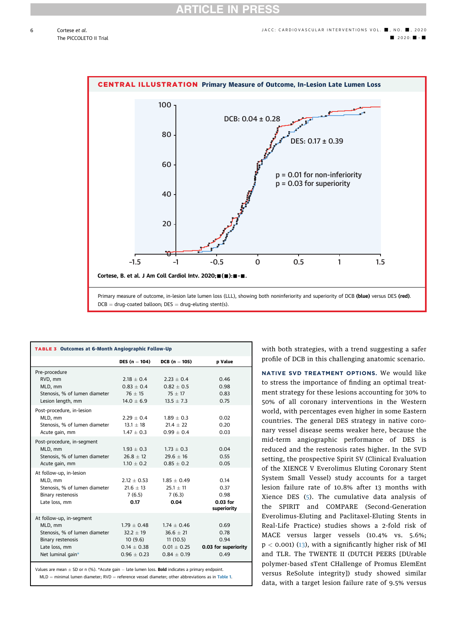6

<span id="page-5-0"></span>

<span id="page-5-1"></span>

| <b>TABLE 3 Outcomes at 6-Month Angiographic Follow-Up</b> |                        |                 |                      |
|-----------------------------------------------------------|------------------------|-----------------|----------------------|
|                                                           | <b>DES</b> $(n = 104)$ | $DCB (n = 105)$ | p Value              |
| Pre-procedure                                             |                        |                 |                      |
| RVD, mm                                                   | $2.18 + 0.4$           | $2.23 + 0.4$    | 0.46                 |
| MLD, mm                                                   | $0.83 + 0.4$           | $0.82 + 0.5$    | 0.98                 |
| Stenosis, % of lumen diameter                             | $76 + 15$              | $75 + 17$       | 0.83                 |
| Lesion length, mm                                         | $14.0 + 6.9$           | $13.5 + 7.3$    | 0.75                 |
| Post-procedure, in-lesion                                 |                        |                 |                      |
| MLD, mm                                                   | $2.29 + 0.4$           | $1.89 + 0.3$    | 0.02                 |
| Stenosis, % of lumen diameter                             | $13.1 + 18$            | $21.4 + 22$     | 0.20                 |
| Acute gain, mm                                            | $1.47 + 0.3$           | $0.99 + 0.4$    | 0.03                 |
| Post-procedure, in-segment                                |                        |                 |                      |
| MLD, mm                                                   | $1.93 \pm 0.3$         | $1.73 \pm 0.3$  | 0.04                 |
| Stenosis, % of lumen diameter                             | $26.8 + 12$            | $29.6 + 16$     | 0.55                 |
| Acute gain, mm                                            | $1.10 \pm 0.2$         | $0.85 + 0.2$    | 0.05                 |
| At follow-up, in-lesion                                   |                        |                 |                      |
| MLD, mm                                                   | $2.12 + 0.53$          | $1.85 + 0.49$   | 0.14                 |
| Stenosis, % of lumen diameter                             | $21.6 + 13$            | $25.1 + 11$     | 0.37                 |
| <b>Binary restenosis</b>                                  | 7(6.5)                 | 7(6.3)          | 0.98                 |
| Late loss, mm                                             | 0.17                   | 0.04            | $0.03$ for           |
|                                                           |                        |                 | superiority          |
| At follow-up, in-segment                                  |                        |                 |                      |
| MLD, mm                                                   | $1.79 \pm 0.48$        | $1.74 + 0.46$   | 0.69                 |
| Stenosis, % of lumen diameter                             | $32.2 + 19$            | $36.6 + 21$     | 0.78                 |
| <b>Binary restenosis</b>                                  | 10(9.6)                | 11(10.5)        | 0.94                 |
| Late loss, mm                                             | $0.14 \pm 0.38$        | $0.01 \pm 0.25$ | 0.03 for superiority |
| Net luminal gain*                                         | $0.96 + 0.23$          | $0.84 + 0.19$   | 0.49                 |
|                                                           |                        |                 |                      |

<span id="page-5-2"></span>Values are mean  $\pm$  SD or n (%). \*Acute gain  $-$  late lumen loss. **Bold** indicates a primary endpoint.  $MLD =$  minimal lumen diameter; RVD = reference vessel diameter; other abbreviations as in [Table 1](#page-3-1). with both strategies, with a trend suggesting a safer profile of DCB in this challenging anatomic scenario.

NATIVE SVD TREATMENT OPTIONS. We would like to stress the importance of finding an optimal treatment strategy for these lesions accounting for 30% to 50% of all coronary interventions in the Western world, with percentages even higher in some Eastern countries. The general DES strategy in native coronary vessel disease seems weaker here, because the mid-term angiographic performance of DES is reduced and the restenosis rates higher. In the SVD setting, the prospective Spirit SV (Clinical Evaluation of the XIENCE V Everolimus Eluting Coronary Stent System Small Vessel) study accounts for a target lesion failure rate of 10.8% after 13 months with Xience DES [\(5\)](#page-8-4). The cumulative data analysis of the SPIRIT and COMPARE (Second-Generation Everolimus-Eluting and Paclitaxel-Eluting Stents in Real-Life Practice) studies shows a 2-fold risk of MACE versus larger vessels (10.4% vs. 5.6%;  $p < 0.001$  [\(13](#page-9-5)), with a significantly higher risk of MI and TLR. The TWENTE II (DUTCH PEERS [DUrable polymer-based sTent CHallenge of Promus ElemEnt versus ReSolute integrity]) study showed similar data, with a target lesion failure rate of 9.5% versus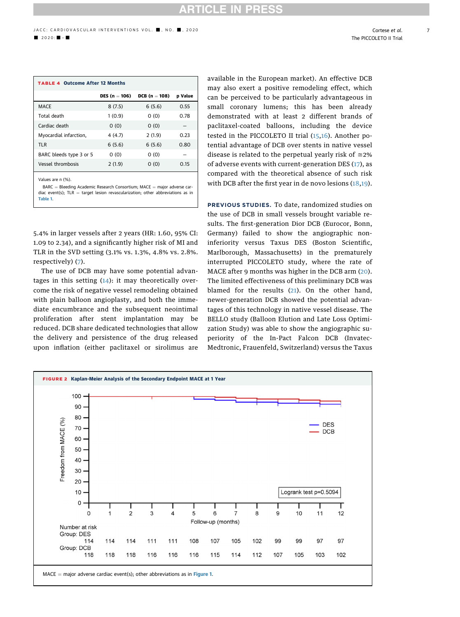# **ICLE IN**

7

<span id="page-6-0"></span>

| <b>TABLE 4 Outcome After 12 Months</b> |                        |                        |                |
|----------------------------------------|------------------------|------------------------|----------------|
|                                        | <b>DES</b> $(n = 106)$ | <b>DCB</b> $(n = 108)$ | <b>p</b> Value |
| MACE                                   | 8(7.5)                 | 6(5.6)                 | 0.55           |
| Total death                            | 1(0.9)                 | 0(0)                   | 0.78           |
| Cardiac death                          | 0(0)                   | 0(0)                   |                |
| Myocardial infarction,                 | 4(4.7)                 | 2(1.9)                 | 0.23           |
| <b>TLR</b>                             | 6(5.6)                 | 6(5.6)                 | 0.80           |
| BARC bleeds type 3 or 5                | 0(0)                   | 0(0)                   |                |
| Vessel thrombosis                      | 2(1.9)                 | 0(0)                   | 0.15           |
| $\sim$<br>.                            |                        |                        |                |

es are n (%).

 $BARC = Bleading Academic Research Consortium; MACE = major adverse car$ diac event(s);  $TLR = target$  lesion revascularization; other abbreviations as in [Table 1](#page-3-1).

5.4% in larger vessels after 2 years (HR: 1.60, 95% CI: 1.09 to 2.34), and a significantly higher risk of MI and TLR in the SVD setting (3.1% vs. 1.3%, 4.8% vs. 2.8%. respectively) ([7](#page-9-6)).

The use of DCB may have some potential advantages in this setting [\(14\)](#page-9-7): it may theoretically overcome the risk of negative vessel remodeling obtained with plain balloon angioplasty, and both the immediate encumbrance and the subsequent neointimal proliferation after stent implantation may be reduced. DCB share dedicated technologies that allow the delivery and persistence of the drug released upon inflation (either paclitaxel or sirolimus are available in the European market). An effective DCB may also exert a positive remodeling effect, which can be perceived to be particularly advantageous in small coronary lumens; this has been already demonstrated with at least 2 different brands of paclitaxel-coated balloons, including the device tested in the PICCOLETO II trial ([15,](#page-9-8)[16\)](#page-9-9). Another potential advantage of DCB over stents in native vessel disease is related to the perpetual yearly risk of  $\approx 2\%$ of adverse events with current-generation DES [\(17](#page-9-10)), as compared with the theoretical absence of such risk with DCB after the first year in de novo lesions ([18](#page-9-11),[19](#page-9-12)).

PREVIOUS STUDIES. To date, randomized studies on the use of DCB in small vessels brought variable results. The first-generation Dior DCB (Eurocor, Bonn, Germany) failed to show the angiographic noninferiority versus Taxus DES (Boston Scientific, Marlborough, Massachusetts) in the prematurely interrupted PICCOLETO study, where the rate of MACE after 9 months was higher in the DCB arm ([20](#page-9-13)). The limited effectiveness of this preliminary DCB was blamed for the results ([21\)](#page-9-14). On the other hand, newer-generation DCB showed the potential advantages of this technology in native vessel disease. The BELLO study (Balloon Elution and Late Loss Optimization Study) was able to show the angiographic superiority of the In-Pact Falcon DCB (Invatec-Medtronic, Frauenfeld, Switzerland) versus the Taxus

<span id="page-6-1"></span>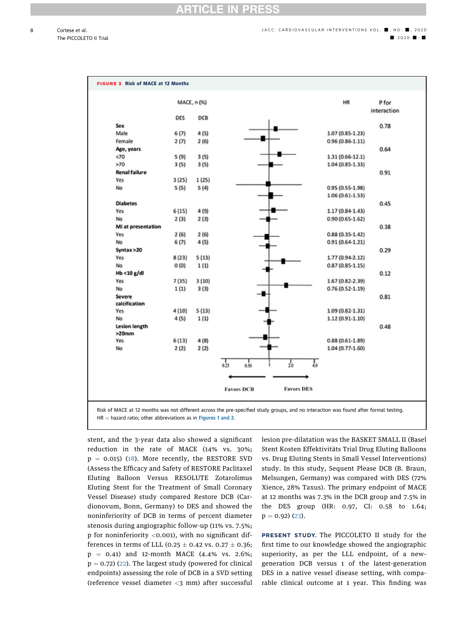<span id="page-7-0"></span>

|                           |       | MACE, n (%) |                                                 | HR                  | P for       |
|---------------------------|-------|-------------|-------------------------------------------------|---------------------|-------------|
|                           |       |             |                                                 |                     | interaction |
|                           | DES   | DCB         |                                                 |                     |             |
| Sex                       |       |             |                                                 |                     | 0.78        |
| Male                      | 6(7)  | 4(5)        |                                                 | 1.07 (0.85-1.23)    |             |
| Female                    | 2(7)  | 2(6)        |                                                 | $0.96(0.86-1.11)$   |             |
| Age, years                |       |             |                                                 |                     | 0.64        |
| <70                       | 5(9)  | 3(5)        |                                                 | $1.31(0.66-12.1)$   |             |
| >70                       | 3(5)  | 3(5)        |                                                 | 1.04 (0.85-1.33)    |             |
| <b>Renal failure</b>      |       |             |                                                 |                     | 0.91        |
| Yes                       | 3(25) | 1(25)       |                                                 |                     |             |
| No                        | 5(5)  | 5(4)        |                                                 | 0.95 (0.55-1.98)    |             |
|                           |       |             |                                                 | $1.06(0.61-1.53)$   |             |
| <b>Diabetes</b>           |       |             |                                                 |                     | 0.45        |
| Yes                       | 6(15) | 4 (9)       |                                                 | $1.17(0.84-1.43)$   |             |
| No                        | 2(3)  | 2(3)        |                                                 | $0.90(0.65-1.62)$   |             |
| MI at presentation        |       |             |                                                 |                     | 0.38        |
| Yes                       | 2(6)  | 2(6)        |                                                 | $0.88(0.35-1.42)$   |             |
| No                        | 6(7)  | 4(5)        |                                                 | $0.91(0.64-1.21)$   |             |
| Syntax > 20               |       |             |                                                 |                     | 0.29        |
| Yes                       | 8(23) | 5(13)       |                                                 | 1.77 (0.94-2.12)    |             |
| No                        | O(0)  | 1(1)        |                                                 | $0.87(0.85 - 1.15)$ |             |
| Hb <10 g/dl               |       |             |                                                 |                     | 0.12        |
| Yes                       | 7(35) | 3(10)       |                                                 | $1.67(0.82 - 2.39)$ |             |
| No                        | 1(1)  | 3(3)        |                                                 | $0.76(0.52 - 1.19)$ |             |
| Severe                    |       |             |                                                 |                     | 0.81        |
| calcification             |       |             |                                                 |                     |             |
| Yes                       | 4(10) | 5(13)       |                                                 | $1.09(0.82 - 1.31)$ |             |
| No                        | 4(5)  | 1(1)        |                                                 | 1.12 (0.91-1.10)    |             |
| Lesion length<br>$>20$ mm |       |             |                                                 |                     | 0.48        |
| Yes                       | 6(13) | 4(8)        |                                                 | $0.88(0.61-1.89)$   |             |
| No                        | 2(2)  | 2(2)        |                                                 | $1.04(0.77-1.60)$   |             |
|                           |       |             | $_{0.25}$<br>$\frac{1}{0.50}$<br>$\frac{1}{20}$ | T                   |             |
|                           |       |             | <b>Favors DCB</b>                               | <b>Favors DES</b>   |             |

 $HR =$  hazard ratio; other abbreviations as in [Figures 1](#page-3-0) and [2](#page-6-1).

stent, and the 3-year data also showed a significant reduction in the rate of MACE (14% vs. 30%;  $p = 0.015$ ) [\(18\)](#page-9-11). More recently, the RESTORE SVD (Assess the Efficacy and Safety of RESTORE Paclitaxel Eluting Balloon Versus RESOLUTE Zotarolimus Eluting Stent for the Treatment of Small Coronary Vessel Disease) study compared Restore DCB (Cardionovum, Bonn, Germany) to DES and showed the noninferiority of DCB in terms of percent diameter stenosis during angiographic follow-up (11% vs. 7.5%; p for noninferiority <0.001), with no significant differences in terms of LLL (0.25  $\pm$  0.42 vs. 0.27  $\pm$  0.36;  $p = 0.41$ ) and 12-month MACE (4.4% vs. 2.6%;  $p = 0.72$ ) ([22](#page-9-15)). The largest study (powered for clinical endpoints) assessing the role of DCB in a SVD setting (reference vessel diameter <3 mm) after successful lesion pre-dilatation was the BASKET SMALL II (Basel Stent Kosten Effektivitäts Trial Drug Eluting Balloons vs. Drug Eluting Stents in Small Vessel Interventions) study. In this study, Sequent Please DCB (B. Braun, Melsungen, Germany) was compared with DES (72% Xience, 28% Taxus). The primary endpoint of MACE at 12 months was 7.3% in the DCB group and 7.5% in the DES group (HR: 0.97, CI: 0.58 to 1.64;  $p = 0.92$ ) ([23](#page-9-16)).

PRESENT STUDY. The PICCOLETO II study for the first time to our knowledge showed the angiographic superiority, as per the LLL endpoint, of a newgeneration DCB versus 1 of the latest-generation DES in a native vessel disease setting, with comparable clinical outcome at 1 year. This finding was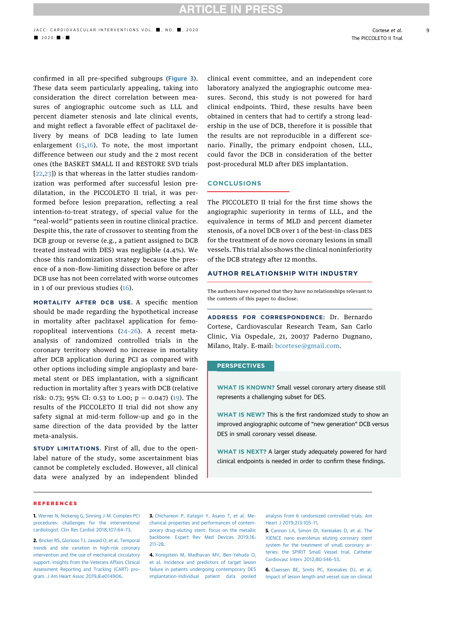9

confirmed in all pre-specified subgroups ([Figure 3](#page-7-0)). These data seem particularly appealing, taking into consideration the direct correlation between measures of angiographic outcome such as LLL and percent diameter stenosis and late clinical events, and might reflect a favorable effect of paclitaxel delivery by means of DCB leading to late lumen enlargement  $(15,16)$  $(15,16)$  $(15,16)$  $(15,16)$  $(15,16)$ . To note, the most important difference between our study and the 2 most recent ones (the BASKET SMALL II and RESTORE SVD trials [[22](#page-9-15),[23](#page-9-16)]) is that whereas in the latter studies randomization was performed after successful lesion predilatation, in the PICCOLETO II trial, it was performed before lesion preparation, reflecting a real intention-to-treat strategy, of special value for the "real-world" patients seen in routine clinical practice. Despite this, the rate of crossover to stenting from the DCB group or reverse (e.g., a patient assigned to DCB treated instead with DES) was negligible (4.4%). We chose this randomization strategy because the presence of a non–flow-limiting dissection before or after DCB use has not been correlated with worse outcomes in 1 of our previous studies ([16\)](#page-9-9).

MORTALITY AFTER DCB USE. A specific mention should be made regarding the hypothetical increase in mortality after paclitaxel application for femoropopliteal interventions (24–[26\)](#page-9-17). A recent metaanalysis of randomized controlled trials in the coronary territory showed no increase in mortality after DCB application during PCI as compared with other options including simple angioplasty and baremetal stent or DES implantation, with a significant reduction in mortality after 3 years with DCB (relative risk: 0.73; 95% CI: 0.53 to 1.00;  $p = 0.047$ ) ([19](#page-9-12)). The results of the PICCOLETO II trial did not show any safety signal at mid-term follow-up and go in the same direction of the data provided by the latter meta-analysis.

STUDY LIMITATIONS. First of all, due to the openlabel nature of the study, some ascertainment bias cannot be completely excluded. However, all clinical data were analyzed by an independent blinded

clinical event committee, and an independent core laboratory analyzed the angiographic outcome measures. Second, this study is not powered for hard clinical endpoints. Third, these results have been obtained in centers that had to certify a strong leadership in the use of DCB, therefore it is possible that the results are not reproducible in a different scenario. Finally, the primary endpoint chosen, LLL, could favor the DCB in consideration of the better post-procedural MLD after DES implantation.

### **CONCLUSIONS**

The PICCOLETO II trial for the first time shows the angiographic superiority in terms of LLL, and the equivalence in terms of MLD and percent diameter stenosis, of a novel DCB over 1 of the best-in-class DES for the treatment of de novo coronary lesions in small vessels. This trial also shows the clinical noninferiority of the DCB strategy after 12 months.

### AUTHOR RELATIONSHIP WITH INDUSTRY

The authors have reported that they have no relationships relevant to the contents of this paper to disclose.

ADDRESS FOR CORRESPONDENCE: Dr. Bernardo Cortese, Cardiovascular Research Team, San Carlo Clinic, Via Ospedale, 21, 20037 Paderno Dugnano, Milano, Italy. E-mail: [bcortese@gmail.com](mailto:bcortese@gmail.com).

#### PERSPECTIVES

WHAT IS KNOWN? Small vessel coronary artery disease still represents a challenging subset for DES.

WHAT IS NEW? This is the first randomized study to show an improved angiographic outcome of "new generation" DCB versus DES in small coronary vessel disease.

WHAT IS NEXT? A larger study adequately powered for hard clinical endpoints is needed in order to confirm these findings.

#### **REFERENCES**

<span id="page-8-0"></span>1. [Werner N, Nickenig G, Sinning J-M. Complex PCI](http://refhub.elsevier.com/S1936-8798(20)31824-0/sref1) [procedures: challenges for the interventional](http://refhub.elsevier.com/S1936-8798(20)31824-0/sref1) [cardiologist. Clin Res Cardiol 2018;107:64](http://refhub.elsevier.com/S1936-8798(20)31824-0/sref1)–73.

<span id="page-8-1"></span>2. [Bricker RS, Glorioso TJ, Jawaid O, et al. Temporal](http://refhub.elsevier.com/S1936-8798(20)31824-0/sref2) [trends and site variation in high-risk coronary](http://refhub.elsevier.com/S1936-8798(20)31824-0/sref2) [intervention and the use of mechanical circulatory](http://refhub.elsevier.com/S1936-8798(20)31824-0/sref2) [support: insights from the Veterans Affairs Clinical](http://refhub.elsevier.com/S1936-8798(20)31824-0/sref2) [Assessment Reporting and Tracking \(CART\) pro](http://refhub.elsevier.com/S1936-8798(20)31824-0/sref2)[gram. J Am Heart Assoc 2019;8:e014906](http://refhub.elsevier.com/S1936-8798(20)31824-0/sref2).

<span id="page-8-2"></span>3. [Chichareon P, Katagiri Y, Asano T, et al. Me](http://refhub.elsevier.com/S1936-8798(20)31824-0/sref3)[chanical properties and performances of contem](http://refhub.elsevier.com/S1936-8798(20)31824-0/sref3)[porary drug-eluting stent: focus on the metallic](http://refhub.elsevier.com/S1936-8798(20)31824-0/sref3) [backbone. Expert Rev Med Devices 2019;16:](http://refhub.elsevier.com/S1936-8798(20)31824-0/sref3) [211](http://refhub.elsevier.com/S1936-8798(20)31824-0/sref3)–28.

<span id="page-8-3"></span>4. [Konigstein M, Madhavan MV, Ben-Yehuda O,](http://refhub.elsevier.com/S1936-8798(20)31824-0/sref4) [et al. Incidence and predictors of target lesion](http://refhub.elsevier.com/S1936-8798(20)31824-0/sref4) [failure in patients undergoing contemporary DES](http://refhub.elsevier.com/S1936-8798(20)31824-0/sref4) [implantation-Individual patient data pooled](http://refhub.elsevier.com/S1936-8798(20)31824-0/sref4)

[analysis from 6 randomized controlled trials. Am](http://refhub.elsevier.com/S1936-8798(20)31824-0/sref4) [Heart J 2019;213:105](http://refhub.elsevier.com/S1936-8798(20)31824-0/sref4)–11.

<span id="page-8-4"></span>5. [Cannon LA, Simon DI, Kereiakes D, et al. The](http://refhub.elsevier.com/S1936-8798(20)31824-0/sref5) [XIENCE nano everolimus eluting coronary stent](http://refhub.elsevier.com/S1936-8798(20)31824-0/sref5) [system for the treatment of small coronary ar](http://refhub.elsevier.com/S1936-8798(20)31824-0/sref5)[teries: the SPIRIT Small Vessel trial. Catheter](http://refhub.elsevier.com/S1936-8798(20)31824-0/sref5) [Cardiovasc Interv 2012;80:546](http://refhub.elsevier.com/S1936-8798(20)31824-0/sref5)–53.

6. [Claessen BE, Smits PC, Kereiakes DJ, et al.](http://refhub.elsevier.com/S1936-8798(20)31824-0/sref6) [Impact of lesion length and vessel size on clinical](http://refhub.elsevier.com/S1936-8798(20)31824-0/sref6)